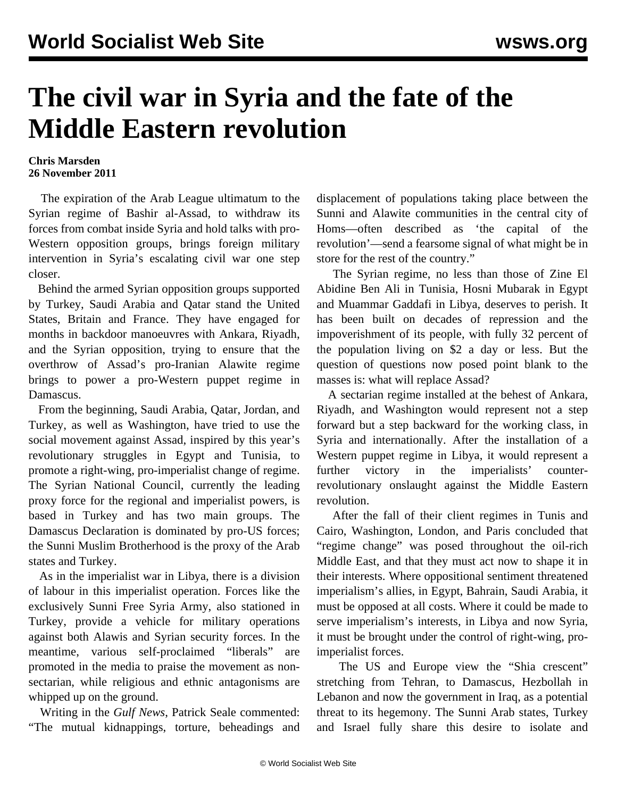## **The civil war in Syria and the fate of the Middle Eastern revolution**

## **Chris Marsden 26 November 2011**

 The expiration of the Arab League ultimatum to the Syrian regime of Bashir al-Assad, to withdraw its forces from combat inside Syria and hold talks with pro-Western opposition groups, brings foreign military intervention in Syria's escalating civil war one step closer.

 Behind the armed Syrian opposition groups supported by Turkey, Saudi Arabia and Qatar stand the United States, Britain and France. They have engaged for months in backdoor manoeuvres with Ankara, Riyadh, and the Syrian opposition, trying to ensure that the overthrow of Assad's pro-Iranian Alawite regime brings to power a pro-Western puppet regime in Damascus.

 From the beginning, Saudi Arabia, Qatar, Jordan, and Turkey, as well as Washington, have tried to use the social movement against Assad, inspired by this year's revolutionary struggles in Egypt and Tunisia, to promote a right-wing, pro-imperialist change of regime. The Syrian National Council, currently the leading proxy force for the regional and imperialist powers, is based in Turkey and has two main groups. The Damascus Declaration is dominated by pro-US forces; the Sunni Muslim Brotherhood is the proxy of the Arab states and Turkey.

 As in the imperialist war in Libya, there is a division of labour in this imperialist operation. Forces like the exclusively Sunni Free Syria Army, also stationed in Turkey, provide a vehicle for military operations against both Alawis and Syrian security forces. In the meantime, various self-proclaimed "liberals" are promoted in the media to praise the movement as nonsectarian, while religious and ethnic antagonisms are whipped up on the ground.

 Writing in the *Gulf News*, Patrick Seale commented: "The mutual kidnappings, torture, beheadings and displacement of populations taking place between the Sunni and Alawite communities in the central city of Homs—often described as 'the capital of the revolution'—send a fearsome signal of what might be in store for the rest of the country."

 The Syrian regime, no less than those of Zine El Abidine Ben Ali in Tunisia, Hosni Mubarak in Egypt and Muammar Gaddafi in Libya, deserves to perish. It has been built on decades of repression and the impoverishment of its people, with fully 32 percent of the population living on \$2 a day or less. But the question of questions now posed point blank to the masses is: what will replace Assad?

 A sectarian regime installed at the behest of Ankara, Riyadh, and Washington would represent not a step forward but a step backward for the working class, in Syria and internationally. After the installation of a Western puppet regime in Libya, it would represent a further victory in the imperialists' counterrevolutionary onslaught against the Middle Eastern revolution.

 After the fall of their client regimes in Tunis and Cairo, Washington, London, and Paris concluded that "regime change" was posed throughout the oil-rich Middle East, and that they must act now to shape it in their interests. Where oppositional sentiment threatened imperialism's allies, in Egypt, Bahrain, Saudi Arabia, it must be opposed at all costs. Where it could be made to serve imperialism's interests, in Libya and now Syria, it must be brought under the control of right-wing, proimperialist forces.

 The US and Europe view the "Shia crescent" stretching from Tehran, to Damascus, Hezbollah in Lebanon and now the government in Iraq, as a potential threat to its hegemony. The Sunni Arab states, Turkey and Israel fully share this desire to isolate and